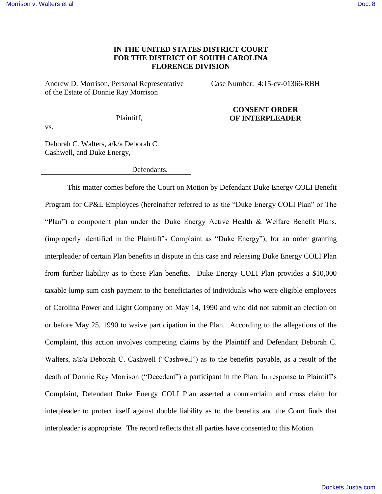## **IN THE UNITED STATES DISTRICT COURT FOR THE DISTRICT OF SOUTH CAROLINA FLORENCE DIVISION**

Andrew D. Morrison, Personal Representative of the Estate of Donnie Ray Morrison

Case Number: 4:15-cv-01366-RBH

Plaintiff,

## **CONSENT ORDER OF INTERPLEADER**

vs.

Deborah C. Walters, a/k/a Deborah C. Cashwell, and Duke Energy,

Defendants.

 This matter comes before the Court on Motion by Defendant Duke Energy COLI Benefit Program for CP&L Employees (hereinafter referred to as the "Duke Energy COLI Plan" or The "Plan") a component plan under the Duke Energy Active Health & Welfare Benefit Plans, (improperly identified in the Plaintiff's Complaint as "Duke Energy"), for an order granting interpleader of certain Plan benefits in dispute in this case and releasing Duke Energy COLI Plan from further liability as to those Plan benefits. Duke Energy COLI Plan provides a \$10,000 taxable lump sum cash payment to the beneficiaries of individuals who were eligible employees of Carolina Power and Light Company on May 14, 1990 and who did not submit an election on or before May 25, 1990 to waive participation in the Plan. According to the allegations of the Complaint, this action involves competing claims by the Plaintiff and Defendant Deborah C. Walters,  $a/k/a$  Deborah C. Cashwell ("Cashwell") as to the benefits payable, as a result of the death of Donnie Ray Morrison ("Decedent") a participant in the Plan. In response to Plaintiff's Complaint, Defendant Duke Energy COLI Plan asserted a counterclaim and cross claim for interpleader to protect itself against double liability as to the benefits and the Court finds that interpleader is appropriate. The record reflects that all parties have consented to this Motion.